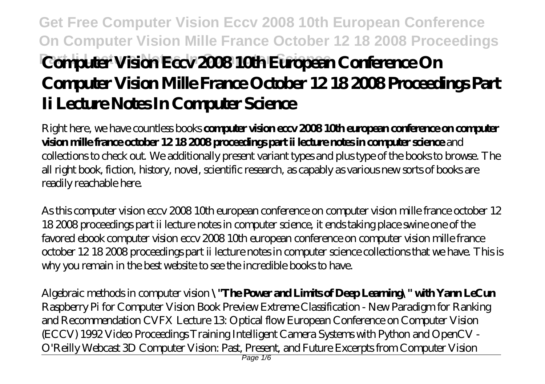# **Get Free Computer Vision Eccv 2008 10th European Conference On Computer Vision Mille France October 12 18 2008 Proceedings Part II Vision Eccy 2008 10th European Conference On Computer Vision Mille France October 12 18 2008 Proceedings Part Ii Lecture Notes In Computer Science**

Right here, we have countless books **computer vision eccv 2008 10th european conference on computer vision mille france october 12 18 2008 proceedings part ii lecture notes in computer science** and collections to check out. We additionally present variant types and plus type of the books to browse. The all right book, fiction, history, novel, scientific research, as capably as various new sorts of books are readily reachable here.

As this computer vision eccv 2008 10th european conference on computer vision mille france october 12 18 2008 proceedings part ii lecture notes in computer science, it ends taking place swine one of the favored ebook computer vision eccv 2008 10th european conference on computer vision mille france october 12 18 2008 proceedings part ii lecture notes in computer science collections that we have. This is why you remain in the best website to see the incredible books to have.

Algebraic methods in computer vision **\"The Power and Limits of Deep Learning\" with Yann LeCun** *Raspberry Pi for Computer Vision Book Preview* Extreme Classification - New Paradigm for Ranking and Recommendation CVFX Lecture 13: Optical flow European Conference on Computer Vision (ECCV) 1992 Video Proceedings Training Intelligent Camera Systems with Python and OpenCV - O'Reilly Webcast 3D Computer Vision: Past, Present, and Future Excerpts from Computer Vision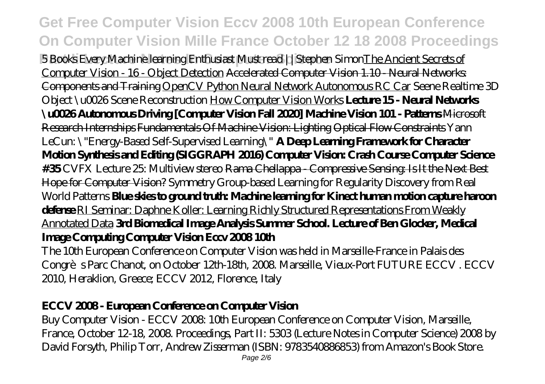**Get Free Computer Vision Eccv 2008 10th European Conference On Computer Vision Mille France October 12 18 2008 Proceedings Part III Learning Science Science Science** 5 Books Every Machine learning Enthusiast Must read ||Stephen SimonThe Ancient Secrets of Computer Vision - 16 - Object Detection Accelerated Computer Vision 1.10 - Neural Networks: Components and Training OpenCV Python Neural Network Autonomous RC Car *Seene Realtime 3D Object \u0026 Scene Reconstruction* How Computer Vision Works **Lecture 15 - Neural Networks \u0026 Autonomous Driving [Computer Vision Fall 2020] Machine Vision 101 - Patterns** Microsoft Research Internships Fundamentals Of Machine Vision: Lighting Optical Flow Constraints *Yann LeCun: \"Energy-Based Self-Supervised Learning\"* **A Deep Learning Framework for Character Motion Synthesis and Editing (SIGGRAPH 2016) Computer Vision: Crash Course Computer Science #35** CVFX Lecture 25: Multiview stereo Rama Chellappa - Compressive Sensing: Is It the Next Best Hope for Computer Vision? Symmetry Group-based Learning for Regularity Discovery from Real World Patterns **Blue skies to ground truth: Machine learning for Kinect human motion capture haroon defense** RI Seminar: Daphne Koller: Learning Richly Structured Representations From Weakly Annotated Data **3rd Biomedical Image Analysis Summer School. Lecture of Ben Glocker, Medical Image Computing Computer Vision Eccv 2008 10th**

The 10th European Conference on Computer Vision was held in Marseille-France in Palais des Congrès Parc Chanot, on October 12th-18th, 2008. Marseille, Vieux-Port FUTURE ECCV . ECCV 2010, Heraklion, Greece; ECCV 2012, Florence, Italy

#### **ECCV 2008 - European Conference on Computer Vision**

Buy Computer Vision - ECCV 2008: 10th European Conference on Computer Vision, Marseille, France, October 12-18, 2008. Proceedings, Part II: 5303 (Lecture Notes in Computer Science) 2008 by David Forsyth, Philip Torr, Andrew Zisserman (ISBN: 9783540886853) from Amazon's Book Store.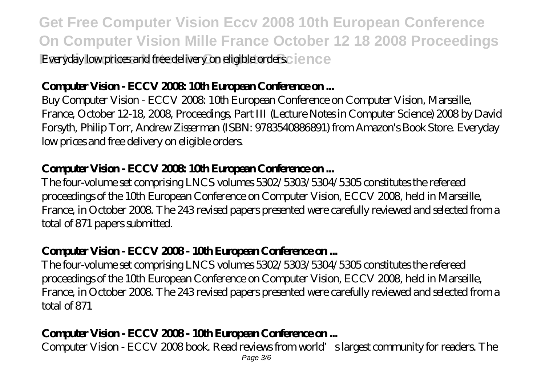**Get Free Computer Vision Eccv 2008 10th European Conference On Computer Vision Mille France October 12 18 2008 Proceedings Party II Letture III Leaded Ivery on eligible orders.** I ence

#### Computer Vision - ECCV 2008 10th European Conference on...

Buy Computer Vision - ECCV 2008: 10th European Conference on Computer Vision, Marseille, France, October 12-18, 2008, Proceedings, Part III (Lecture Notes in Computer Science) 2008 by David Forsyth, Philip Torr, Andrew Zisserman (ISBN: 9783540886891) from Amazon's Book Store. Everyday low prices and free delivery on eligible orders.

#### **Computer Vision - ECCV 2008: 10th European Conference on ...**

The four-volume set comprising LNCS volumes 5302/5303/5304/5305 constitutes the refereed proceedings of the 10th European Conference on Computer Vision, ECCV 2008, held in Marseille, France, in October 2008. The 243 revised papers presented were carefully reviewed and selected from a total of 871 papers submitted.

### Computer Vision - ECCV 2008 - 10th European Conference on...

The four-volume set comprising LNCS volumes 5302/5303/5304/5305 constitutes the refereed proceedings of the 10th European Conference on Computer Vision, ECCV 2008, held in Marseille, France, in October 2008. The 243 revised papers presented were carefully reviewed and selected from a total of 871

# **Computer Vision - ECCV 2008 - 10th European Conference on ...**

Computer Vision - ECCV 2008 book. Read reviews from world's largest community for readers. The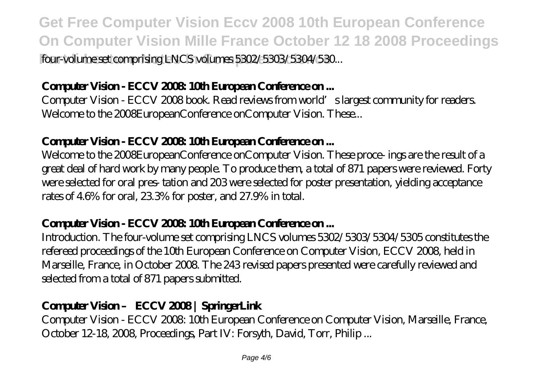**Get Free Computer Vision Eccv 2008 10th European Conference On Computer Vision Mille France October 12 18 2008 Proceedings Part Ii Lecture Notes In Computer Science** four-volume set comprising LNCS volumes 5302/5303/5304/530...

#### Computer Vision - ECCV 2008 10th European Conference on...

Computer Vision - ECCV 2008 book. Read reviews from world's largest community for readers. Welcome to the 2008EuropeanConference onComputer Vision. These...

#### **Computer Vision - ECCV 2008: 10th European Conference on ...**

Welcome to the 2008EuropeanConference onComputer Vision. These proce- ings are the result of a great deal of hard work by many people. To produce them, a total of 871 papers were reviewed. Forty were selected for oral pres- tation and 203 were selected for poster presentation, yielding acceptance rates of 4.6% for oral, 23.3% for poster, and 27.9% in total.

#### Computer Vision - ECCV 2008 10th European Conference on ...

Introduction. The four-volume set comprising LNCS volumes 5302/5303/5304/5305 constitutes the refereed proceedings of the 10th European Conference on Computer Vision, ECCV 2008, held in Marseille, France, in October 2008. The 243 revised papers presented were carefully reviewed and selected from a total of 871 papers submitted.

#### **Computer Vision – ECCV 2008 | SpringerLink**

Computer Vision - ECCV 2008: 10th European Conference on Computer Vision, Marseille, France, October 12-18, 2008, Proceedings, Part IV: Forsyth, David, Torr, Philip ...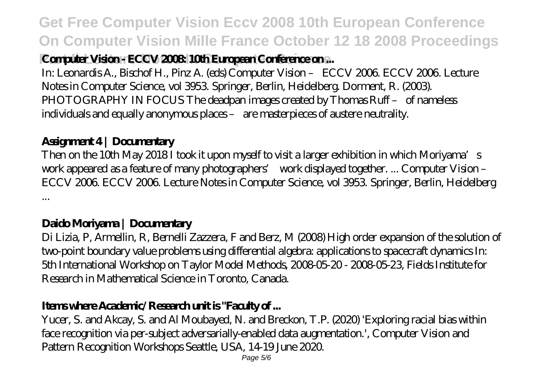**Get Free Computer Vision Eccv 2008 10th European Conference On Computer Vision Mille France October 12 18 2008 Proceedings**

# **Computer Vision - ECCV 2008: 10th European Conference on ...**

In: Leonardis A., Bischof H., Pinz A. (eds) Computer Vision – ECCV 2006. ECCV 2006. Lecture Notes in Computer Science, vol 3953. Springer, Berlin, Heidelberg. Dorment, R. (2003). PHOTOGRAPHY IN FOCUS The deadpan images created by Thomas Ruff - of nameless individuals and equally anonymous places – are masterpieces of austere neutrality.

#### **Assignment 4 | Documentary**

Then on the 10th May 2018 I took it upon myself to visit a larger exhibition in which Moriyama's work appeared as a feature of many photographers' work displayed together. ... Computer Vision – ECCV 2006. ECCV 2006. Lecture Notes in Computer Science, vol 3953. Springer, Berlin, Heidelberg ...

#### **Daido Moriyama | Documentary**

Di Lizia, P, Armellin, R, Bernelli Zazzera, F and Berz, M (2008) High order expansion of the solution of two-point boundary value problems using differential algebra: applications to spacecraft dynamics In: 5th International Workshop on Taylor Model Methods, 2008-05-20 - 2008-05-23, Fields Institute for Research in Mathematical Science in Toronto, Canada.

#### **Items where Academic/Research unit is "Faculty of ...**

Yucer, S. and Akcay, S. and Al Moubayed, N. and Breckon, T.P. (2020) 'Exploring racial bias within face recognition via per-subject adversarially-enabled data augmentation.', Computer Vision and Pattern Recognition Workshops Seattle, USA, 14-19 June 2020.